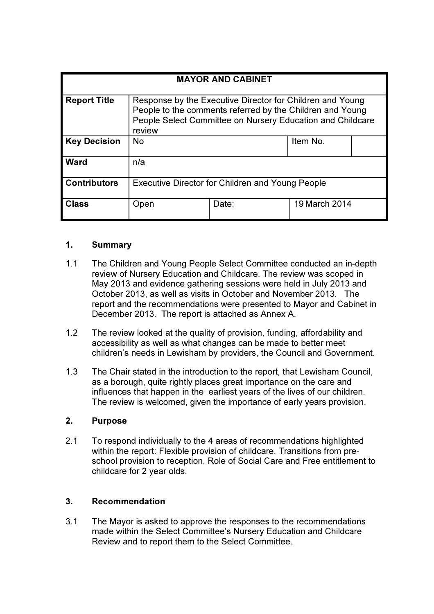| <b>MAYOR AND CABINET</b> |                                                                                                                                                                                                |       |               |  |  |  |
|--------------------------|------------------------------------------------------------------------------------------------------------------------------------------------------------------------------------------------|-------|---------------|--|--|--|
| <b>Report Title</b>      | Response by the Executive Director for Children and Young<br>People to the comments referred by the Children and Young<br>People Select Committee on Nursery Education and Childcare<br>review |       |               |  |  |  |
| <b>Key Decision</b>      | <b>No</b>                                                                                                                                                                                      |       | Item No.      |  |  |  |
| Ward                     | n/a                                                                                                                                                                                            |       |               |  |  |  |
| <b>Contributors</b>      | <b>Executive Director for Children and Young People</b>                                                                                                                                        |       |               |  |  |  |
| <b>Class</b>             | Open                                                                                                                                                                                           | Date: | 19 March 2014 |  |  |  |

# 1. Summary

- 1.1 The Children and Young People Select Committee conducted an in-depth review of Nursery Education and Childcare. The review was scoped in May 2013 and evidence gathering sessions were held in July 2013 and October 2013, as well as visits in October and November 2013. The report and the recommendations were presented to Mayor and Cabinet in December 2013. The report is attached as Annex A.
- 1.2 The review looked at the quality of provision, funding, affordability and accessibility as well as what changes can be made to better meet children's needs in Lewisham by providers, the Council and Government.
- 1.3 The Chair stated in the introduction to the report, that Lewisham Council, as a borough, quite rightly places great importance on the care and influences that happen in the earliest years of the lives of our children. The review is welcomed, given the importance of early years provision.

## 2. Purpose

2.1 To respond individually to the 4 areas of recommendations highlighted within the report: Flexible provision of childcare, Transitions from preschool provision to reception, Role of Social Care and Free entitlement to childcare for 2 year olds.

## 3. Recommendation

3.1 The Mayor is asked to approve the responses to the recommendations made within the Select Committee's Nursery Education and Childcare Review and to report them to the Select Committee.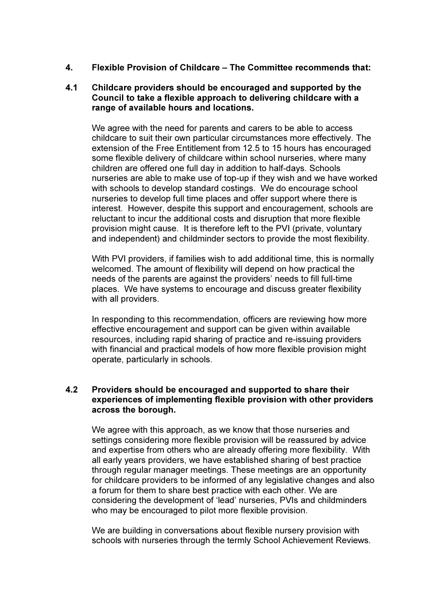4. Flexible Provision of Childcare – The Committee recommends that:

#### 4.1 Childcare providers should be encouraged and supported by the Council to take a flexible approach to delivering childcare with a range of available hours and locations.

 We agree with the need for parents and carers to be able to access childcare to suit their own particular circumstances more effectively. The extension of the Free Entitlement from 12.5 to 15 hours has encouraged some flexible delivery of childcare within school nurseries, where many children are offered one full day in addition to half-days. Schools nurseries are able to make use of top-up if they wish and we have worked with schools to develop standard costings. We do encourage school nurseries to develop full time places and offer support where there is interest. However, despite this support and encouragement, schools are reluctant to incur the additional costs and disruption that more flexible provision might cause. It is therefore left to the PVI (private, voluntary and independent) and childminder sectors to provide the most flexibility.

 With PVI providers, if families wish to add additional time, this is normally welcomed. The amount of flexibility will depend on how practical the needs of the parents are against the providers' needs to fill full-time places. We have systems to encourage and discuss greater flexibility with all providers.

 In responding to this recommendation, officers are reviewing how more effective encouragement and support can be given within available resources, including rapid sharing of practice and re-issuing providers with financial and practical models of how more flexible provision might operate, particularly in schools.

## 4.2 Providers should be encouraged and supported to share their experiences of implementing flexible provision with other providers across the borough.

 We agree with this approach, as we know that those nurseries and settings considering more flexible provision will be reassured by advice and expertise from others who are already offering more flexibility. With all early years providers, we have established sharing of best practice through regular manager meetings. These meetings are an opportunity for childcare providers to be informed of any legislative changes and also a forum for them to share best practice with each other. We are considering the development of 'lead' nurseries, PVIs and childminders who may be encouraged to pilot more flexible provision.

 We are building in conversations about flexible nursery provision with schools with nurseries through the termly School Achievement Reviews.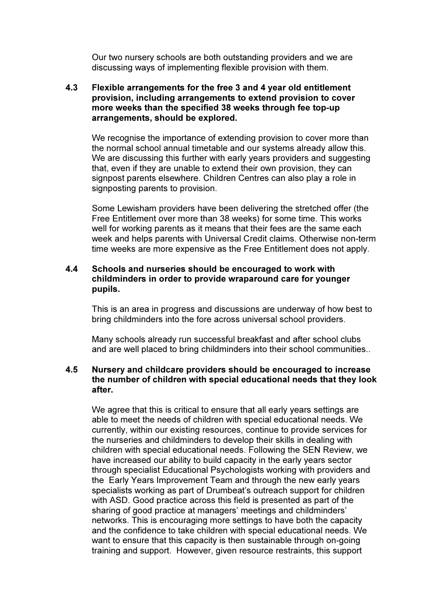Our two nursery schools are both outstanding providers and we are discussing ways of implementing flexible provision with them.

## 4.3 Flexible arrangements for the free 3 and 4 year old entitlement provision, including arrangements to extend provision to cover more weeks than the specified 38 weeks through fee top-up arrangements, should be explored.

 We recognise the importance of extending provision to cover more than the normal school annual timetable and our systems already allow this. We are discussing this further with early years providers and suggesting that, even if they are unable to extend their own provision, they can signpost parents elsewhere. Children Centres can also play a role in signposting parents to provision.

 Some Lewisham providers have been delivering the stretched offer (the Free Entitlement over more than 38 weeks) for some time. This works well for working parents as it means that their fees are the same each week and helps parents with Universal Credit claims. Otherwise non-term time weeks are more expensive as the Free Entitlement does not apply.

## 4.4 Schools and nurseries should be encouraged to work with childminders in order to provide wraparound care for younger pupils.

 This is an area in progress and discussions are underway of how best to bring childminders into the fore across universal school providers.

 Many schools already run successful breakfast and after school clubs and are well placed to bring childminders into their school communities..

## 4.5 Nursery and childcare providers should be encouraged to increase the number of children with special educational needs that they look after.

 We agree that this is critical to ensure that all early years settings are able to meet the needs of children with special educational needs. We currently, within our existing resources, continue to provide services for the nurseries and childminders to develop their skills in dealing with children with special educational needs. Following the SEN Review, we have increased our ability to build capacity in the early years sector through specialist Educational Psychologists working with providers and the Early Years Improvement Team and through the new early years specialists working as part of Drumbeat's outreach support for children with ASD. Good practice across this field is presented as part of the sharing of good practice at managers' meetings and childminders' networks. This is encouraging more settings to have both the capacity and the confidence to take children with special educational needs. We want to ensure that this capacity is then sustainable through on-going training and support. However, given resource restraints, this support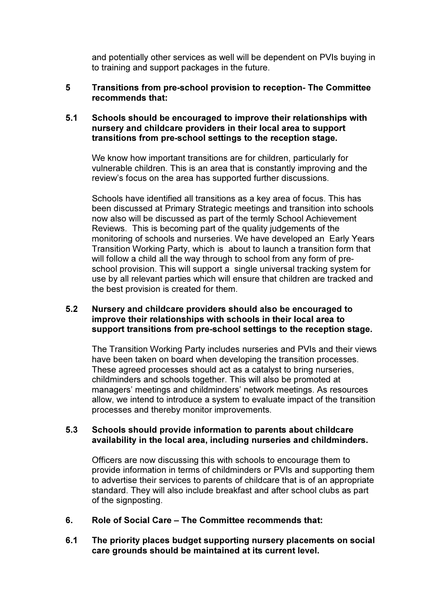and potentially other services as well will be dependent on PVIs buying in to training and support packages in the future.

## 5 Transitions from pre-school provision to reception- The Committee recommends that:

#### 5.1 Schools should be encouraged to improve their relationships with nursery and childcare providers in their local area to support transitions from pre-school settings to the reception stage.

 We know how important transitions are for children, particularly for vulnerable children. This is an area that is constantly improving and the review's focus on the area has supported further discussions.

 Schools have identified all transitions as a key area of focus. This has been discussed at Primary Strategic meetings and transition into schools now also will be discussed as part of the termly School Achievement Reviews. This is becoming part of the quality judgements of the monitoring of schools and nurseries. We have developed an Early Years Transition Working Party, which is about to launch a transition form that will follow a child all the way through to school from any form of preschool provision. This will support a single universal tracking system for use by all relevant parties which will ensure that children are tracked and the best provision is created for them.

## 5.2 Nursery and childcare providers should also be encouraged to improve their relationships with schools in their local area to support transitions from pre-school settings to the reception stage.

 The Transition Working Party includes nurseries and PVIs and their views have been taken on board when developing the transition processes. These agreed processes should act as a catalyst to bring nurseries, childminders and schools together. This will also be promoted at managers' meetings and childminders' network meetings. As resources allow, we intend to introduce a system to evaluate impact of the transition processes and thereby monitor improvements.

#### 5.3 Schools should provide information to parents about childcare availability in the local area, including nurseries and childminders.

 Officers are now discussing this with schools to encourage them to provide information in terms of childminders or PVIs and supporting them to advertise their services to parents of childcare that is of an appropriate standard. They will also include breakfast and after school clubs as part of the signposting.

- 6. Role of Social Care The Committee recommends that:
- 6.1 The priority places budget supporting nursery placements on social care grounds should be maintained at its current level.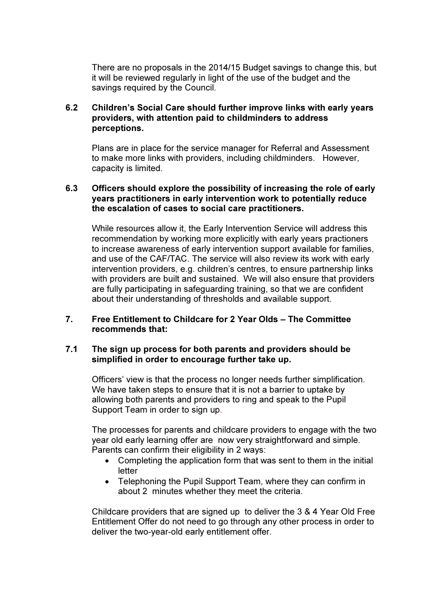There are no proposals in the 2014/15 Budget savings to change this, but it will be reviewed regularly in light of the use of the budget and the savings required by the Council.

## 6.2 Children's Social Care should further improve links with early years providers, with attention paid to childminders to address perceptions.

 Plans are in place for the service manager for Referral and Assessment to make more links with providers, including childminders. However, capacity is limited.

## 6.3 Officers should explore the possibility of increasing the role of early years practitioners in early intervention work to potentially reduce the escalation of cases to social care practitioners.

 While resources allow it, the Early Intervention Service will address this recommendation by working more explicitly with early years practioners to increase awareness of early intervention support available for families, and use of the CAF/TAC. The service will also review its work with early intervention providers, e.g. children's centres, to ensure partnership links with providers are built and sustained. We will also ensure that providers are fully participating in safeguarding training, so that we are confident about their understanding of thresholds and available support.

## 7. Free Entitlement to Childcare for 2 Year Olds – The Committee recommends that:

#### 7.1 The sign up process for both parents and providers should be simplified in order to encourage further take up.

 Officers' view is that the process no longer needs further simplification. We have taken steps to ensure that it is not a barrier to uptake by allowing both parents and providers to ring and speak to the Pupil Support Team in order to sign up.

 The processes for parents and childcare providers to engage with the two year old early learning offer are now very straightforward and simple. Parents can confirm their eligibility in 2 ways:

- Completing the application form that was sent to them in the initial letter
- Telephoning the Pupil Support Team, where they can confirm in about 2 minutes whether they meet the criteria.

 Childcare providers that are signed up to deliver the 3 & 4 Year Old Free Entitlement Offer do not need to go through any other process in order to deliver the two-year-old early entitlement offer.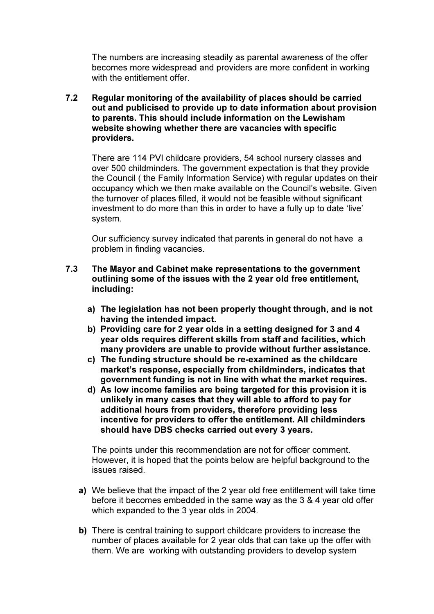The numbers are increasing steadily as parental awareness of the offer becomes more widespread and providers are more confident in working with the entitlement offer.

7.2 Regular monitoring of the availability of places should be carried out and publicised to provide up to date information about provision to parents. This should include information on the Lewisham website showing whether there are vacancies with specific providers.

 There are 114 PVI childcare providers, 54 school nursery classes and over 500 childminders. The government expectation is that they provide the Council ( the Family Information Service) with regular updates on their occupancy which we then make available on the Council's website. Given the turnover of places filled, it would not be feasible without significant investment to do more than this in order to have a fully up to date 'live' system.

 Our sufficiency survey indicated that parents in general do not have a problem in finding vacancies.

- 7.3 The Mayor and Cabinet make representations to the government outlining some of the issues with the 2 year old free entitlement, including:
	- a) The legislation has not been properly thought through, and is not having the intended impact.
	- b) Providing care for 2 year olds in a setting designed for 3 and 4 year olds requires different skills from staff and facilities, which many providers are unable to provide without further assistance.
	- c) The funding structure should be re-examined as the childcare market's response, especially from childminders, indicates that government funding is not in line with what the market requires.
	- d) As low income families are being targeted for this provision it is unlikely in many cases that they will able to afford to pay for additional hours from providers, therefore providing less incentive for providers to offer the entitlement. All childminders should have DBS checks carried out every 3 years.

 The points under this recommendation are not for officer comment. However, it is hoped that the points below are helpful background to the issues raised.

- a) We believe that the impact of the 2 year old free entitlement will take time before it becomes embedded in the same way as the 3 & 4 year old offer which expanded to the 3 year olds in 2004.
- b) There is central training to support childcare providers to increase the number of places available for 2 year olds that can take up the offer with them. We are working with outstanding providers to develop system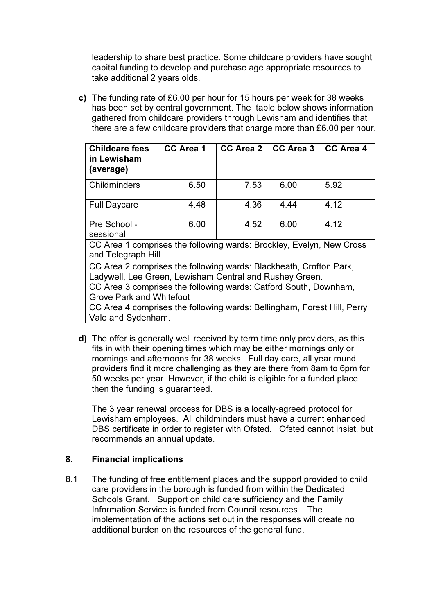leadership to share best practice. Some childcare providers have sought capital funding to develop and purchase age appropriate resources to take additional 2 years olds.

c) The funding rate of £6.00 per hour for 15 hours per week for 38 weeks has been set by central government. The table below shows information gathered from childcare providers through Lewisham and identifies that there are a few childcare providers that charge more than £6.00 per hour.

| <b>Childcare fees</b><br>in Lewisham<br>(average)                                          | <b>CC Area 1</b> | <b>CC Area 2</b> | CC Area 3 | CC Area 4 |  |  |  |
|--------------------------------------------------------------------------------------------|------------------|------------------|-----------|-----------|--|--|--|
| Childminders                                                                               | 6.50             | 7.53             | 6.00      | 5.92      |  |  |  |
| <b>Full Daycare</b>                                                                        | 4.48             | 4.36             | 4.44      | 4.12      |  |  |  |
| Pre School -                                                                               | 6.00             | 4.52             | 6.00      | 4.12      |  |  |  |
| sessional                                                                                  |                  |                  |           |           |  |  |  |
| CC Area 1 comprises the following wards: Brockley, Evelyn, New Cross<br>and Telegraph Hill |                  |                  |           |           |  |  |  |
| CC Area 2 comprises the following wards: Blackheath, Crofton Park,                         |                  |                  |           |           |  |  |  |
| Ladywell, Lee Green, Lewisham Central and Rushey Green.                                    |                  |                  |           |           |  |  |  |
| CC Area 3 comprises the following wards: Catford South, Downham,                           |                  |                  |           |           |  |  |  |
| <b>Grove Park and Whitefoot</b>                                                            |                  |                  |           |           |  |  |  |
| CC Area 4 comprises the following wards: Bellingham, Forest Hill, Perry                    |                  |                  |           |           |  |  |  |
| Vale and Sydenham.                                                                         |                  |                  |           |           |  |  |  |

d) The offer is generally well received by term time only providers, as this fits in with their opening times which may be either mornings only or mornings and afternoons for 38 weeks. Full day care, all year round providers find it more challenging as they are there from 8am to 6pm for 50 weeks per year. However, if the child is eligible for a funded place then the funding is guaranteed.

 The 3 year renewal process for DBS is a locally-agreed protocol for Lewisham employees. All childminders must have a current enhanced DBS certificate in order to register with Ofsted. Ofsted cannot insist, but recommends an annual update.

## 8. Financial implications

8.1 The funding of free entitlement places and the support provided to child care providers in the borough is funded from within the Dedicated Schools Grant. Support on child care sufficiency and the Family Information Service is funded from Council resources. The implementation of the actions set out in the responses will create no additional burden on the resources of the general fund.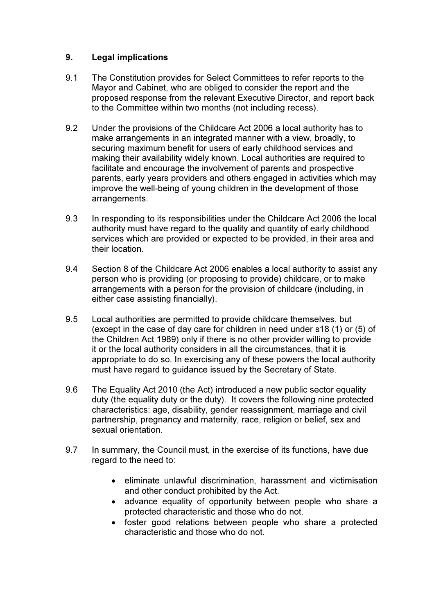# 9. Legal implications

- 9.1 The Constitution provides for Select Committees to refer reports to the Mayor and Cabinet, who are obliged to consider the report and the proposed response from the relevant Executive Director, and report back to the Committee within two months (not including recess).
- 9.2 Under the provisions of the Childcare Act 2006 a local authority has to make arrangements in an integrated manner with a view, broadly, to securing maximum benefit for users of early childhood services and making their availability widely known. Local authorities are required to facilitate and encourage the involvement of parents and prospective parents, early years providers and others engaged in activities which may improve the well-being of young children in the development of those arrangements.
- 9.3 In responding to its responsibilities under the Childcare Act 2006 the local authority must have regard to the quality and quantity of early childhood services which are provided or expected to be provided, in their area and their location.
- 9.4 Section 8 of the Childcare Act 2006 enables a local authority to assist any person who is providing (or proposing to provide) childcare, or to make arrangements with a person for the provision of childcare (including, in either case assisting financially).
- 9.5 Local authorities are permitted to provide childcare themselves, but (except in the case of day care for children in need under s18 (1) or (5) of the Children Act 1989) only if there is no other provider willing to provide it or the local authority considers in all the circumstances, that it is appropriate to do so. In exercising any of these powers the local authority must have regard to guidance issued by the Secretary of State.
- 9.6 The Equality Act 2010 (the Act) introduced a new public sector equality duty (the equality duty or the duty). It covers the following nine protected characteristics: age, disability, gender reassignment, marriage and civil partnership, pregnancy and maternity, race, religion or belief, sex and sexual orientation.
- 9.7 In summary, the Council must, in the exercise of its functions, have due regard to the need to:
	- eliminate unlawful discrimination, harassment and victimisation and other conduct prohibited by the Act.
	- advance equality of opportunity between people who share a protected characteristic and those who do not.
	- foster good relations between people who share a protected characteristic and those who do not.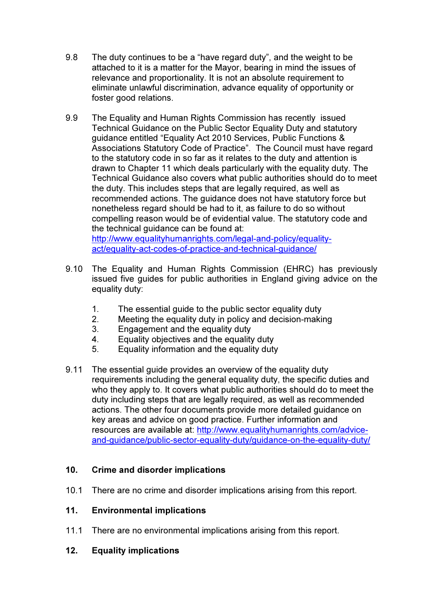- 9.8 The duty continues to be a "have regard duty", and the weight to be attached to it is a matter for the Mayor, bearing in mind the issues of relevance and proportionality. It is not an absolute requirement to eliminate unlawful discrimination, advance equality of opportunity or foster good relations.
- 9.9 The Equality and Human Rights Commission has recently issued Technical Guidance on the Public Sector Equality Duty and statutory guidance entitled "Equality Act 2010 Services, Public Functions & Associations Statutory Code of Practice". The Council must have regard to the statutory code in so far as it relates to the duty and attention is drawn to Chapter 11 which deals particularly with the equality duty. The Technical Guidance also covers what public authorities should do to meet the duty. This includes steps that are legally required, as well as recommended actions. The guidance does not have statutory force but nonetheless regard should be had to it, as failure to do so without compelling reason would be of evidential value. The statutory code and the technical guidance can be found at: http://www.equalityhumanrights.com/legal-and-policy/equalityact/equality-act-codes-of-practice-and-technical-guidance/
- 9.10 The Equality and Human Rights Commission (EHRC) has previously issued five guides for public authorities in England giving advice on the equality duty:
	- 1. The essential guide to the public sector equality duty
	- 2. Meeting the equality duty in policy and decision-making
	- 3. Engagement and the equality duty
	- 4. Equality objectives and the equality duty
	- 5. Equality information and the equality duty
- 9.11 The essential guide provides an overview of the equality duty requirements including the general equality duty, the specific duties and who they apply to. It covers what public authorities should do to meet the duty including steps that are legally required, as well as recommended actions. The other four documents provide more detailed guidance on key areas and advice on good practice. Further information and resources are available at: http://www.equalityhumanrights.com/adviceand-guidance/public-sector-equality-duty/guidance-on-the-equality-duty/

# 10. Crime and disorder implications

10.1 There are no crime and disorder implications arising from this report.

# 11. Environmental implications

- 11.1 There are no environmental implications arising from this report.
- 12. Equality implications